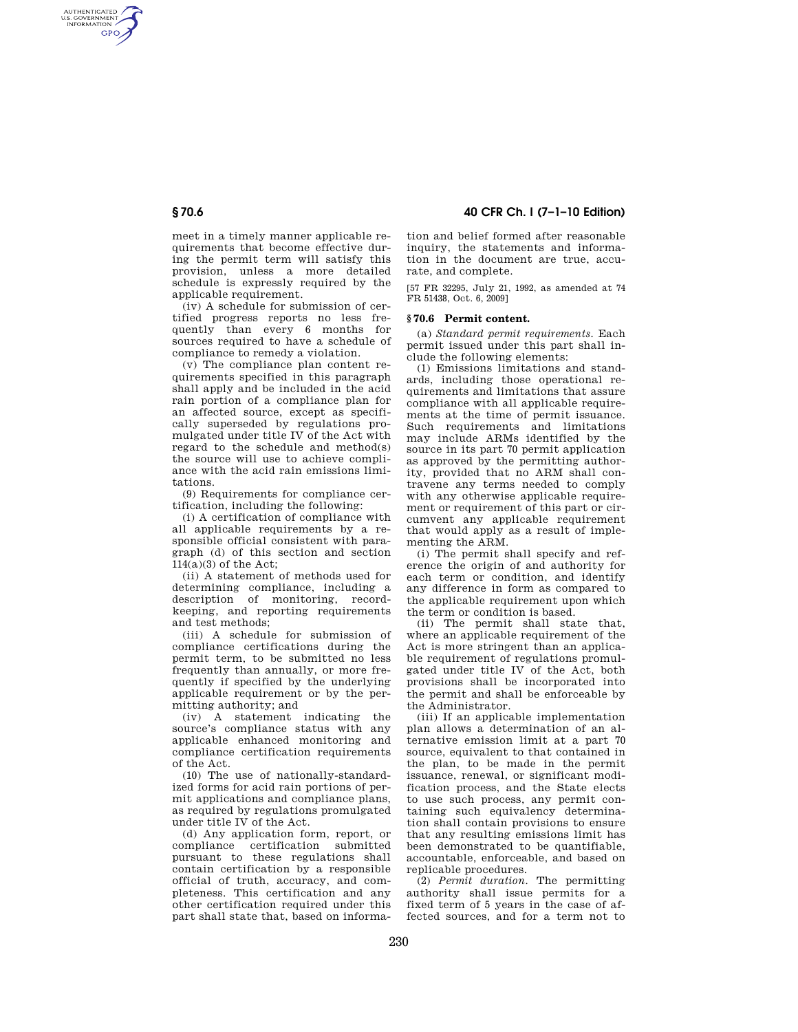AUTHENTICATED<br>U.S. GOVERNMENT<br>INFORMATION **GPO** 

> meet in a timely manner applicable requirements that become effective during the permit term will satisfy this provision, unless a more detailed schedule is expressly required by the applicable requirement.

> (iv) A schedule for submission of certified progress reports no less frequently than every 6 months for sources required to have a schedule of compliance to remedy a violation.

> (v) The compliance plan content requirements specified in this paragraph shall apply and be included in the acid rain portion of a compliance plan for an affected source, except as specifically superseded by regulations promulgated under title IV of the Act with regard to the schedule and method(s) the source will use to achieve compliance with the acid rain emissions limitations.

(9) Requirements for compliance certification, including the following:

(i) A certification of compliance with all applicable requirements by a responsible official consistent with paragraph (d) of this section and section  $114(a)(3)$  of the Act;

(ii) A statement of methods used for determining compliance, including a description of monitoring, recordkeeping, and reporting requirements and test methods;

(iii) A schedule for submission of compliance certifications during the permit term, to be submitted no less frequently than annually, or more frequently if specified by the underlying applicable requirement or by the permitting authority; and

(iv) A statement indicating the source's compliance status with any applicable enhanced monitoring and compliance certification requirements of the Act.

(10) The use of nationally-standardized forms for acid rain portions of permit applications and compliance plans, as required by regulations promulgated under title IV of the Act.

(d) Any application form, report, or compliance certification submitted pursuant to these regulations shall contain certification by a responsible official of truth, accuracy, and completeness. This certification and any other certification required under this part shall state that, based on informa-

**§ 70.6 40 CFR Ch. I (7–1–10 Edition)** 

tion and belief formed after reasonable inquiry, the statements and information in the document are true, accurate, and complete.

[57 FR 32295, July 21, 1992, as amended at 74 FR 51438, Oct. 6, 2009]

#### **§ 70.6 Permit content.**

(a) *Standard permit requirements.* Each permit issued under this part shall include the following elements:

(1) Emissions limitations and standards, including those operational requirements and limitations that assure compliance with all applicable requirements at the time of permit issuance. Such requirements and limitations may include ARMs identified by the source in its part 70 permit application as approved by the permitting authority, provided that no ARM shall contravene any terms needed to comply with any otherwise applicable requirement or requirement of this part or circumvent any applicable requirement that would apply as a result of implementing the ARM.

(i) The permit shall specify and reference the origin of and authority for each term or condition, and identify any difference in form as compared to the applicable requirement upon which the term or condition is based.

(ii) The permit shall state that, where an applicable requirement of the Act is more stringent than an applicable requirement of regulations promulgated under title IV of the Act, both provisions shall be incorporated into the permit and shall be enforceable by the Administrator.

(iii) If an applicable implementation plan allows a determination of an alternative emission limit at a part 70 source, equivalent to that contained in the plan, to be made in the permit issuance, renewal, or significant modification process, and the State elects to use such process, any permit containing such equivalency determination shall contain provisions to ensure that any resulting emissions limit has been demonstrated to be quantifiable, accountable, enforceable, and based on replicable procedures.

(2) *Permit duration.* The permitting authority shall issue permits for a fixed term of 5 years in the case of affected sources, and for a term not to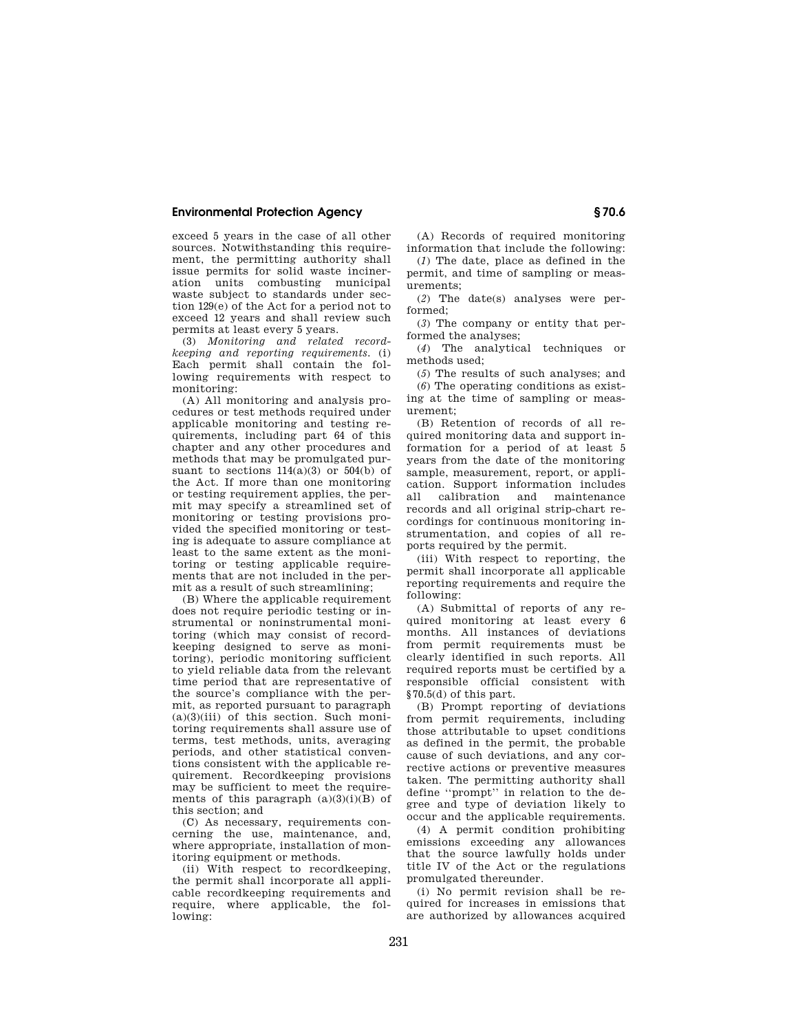# **Environmental Protection Agency § 70.6**

exceed 5 years in the case of all other sources. Notwithstanding this requirement, the permitting authority shall issue permits for solid waste incineration units combusting municipal waste subject to standards under section 129(e) of the Act for a period not to exceed 12 years and shall review such permits at least every 5 years.

(3) *Monitoring and related recordkeeping and reporting requirements.* (i) Each permit shall contain the following requirements with respect to monitoring:

(A) All monitoring and analysis procedures or test methods required under applicable monitoring and testing requirements, including part 64 of this chapter and any other procedures and methods that may be promulgated pursuant to sections  $114(a)(3)$  or  $504(b)$  of the Act. If more than one monitoring or testing requirement applies, the permit may specify a streamlined set of monitoring or testing provisions provided the specified monitoring or testing is adequate to assure compliance at least to the same extent as the monitoring or testing applicable requirements that are not included in the permit as a result of such streamlining;

(B) Where the applicable requirement does not require periodic testing or instrumental or noninstrumental monitoring (which may consist of recordkeeping designed to serve as monitoring), periodic monitoring sufficient to yield reliable data from the relevant time period that are representative of the source's compliance with the permit, as reported pursuant to paragraph  $(a)(3)(iii)$  of this section. Such monitoring requirements shall assure use of terms, test methods, units, averaging periods, and other statistical conventions consistent with the applicable requirement. Recordkeeping provisions may be sufficient to meet the requirements of this paragraph  $(a)(3)(i)(B)$  of this section; and

(C) As necessary, requirements concerning the use, maintenance, and, where appropriate, installation of monitoring equipment or methods.

(ii) With respect to recordkeeping, the permit shall incorporate all applicable recordkeeping requirements and require, where applicable, the following:

(A) Records of required monitoring information that include the following:

(*1*) The date, place as defined in the permit, and time of sampling or measurements;

(*2*) The date(s) analyses were performed;

(*3*) The company or entity that performed the analyses;

(*4*) The analytical techniques or methods used;

(*5*) The results of such analyses; and (*6*) The operating conditions as existing at the time of sampling or measurement;

(B) Retention of records of all required monitoring data and support information for a period of at least 5 years from the date of the monitoring sample, measurement, report, or application. Support information includes all calibration and maintenance records and all original strip-chart recordings for continuous monitoring instrumentation, and copies of all reports required by the permit.

(iii) With respect to reporting, the permit shall incorporate all applicable reporting requirements and require the following:

(A) Submittal of reports of any required monitoring at least every 6 months. All instances of deviations from permit requirements must be clearly identified in such reports. All required reports must be certified by a responsible official consistent with §70.5(d) of this part.

(B) Prompt reporting of deviations from permit requirements, including those attributable to upset conditions as defined in the permit, the probable cause of such deviations, and any corrective actions or preventive measures taken. The permitting authority shall define ''prompt'' in relation to the degree and type of deviation likely to occur and the applicable requirements.

(4) A permit condition prohibiting emissions exceeding any allowances that the source lawfully holds under title IV of the Act or the regulations promulgated thereunder.

(i) No permit revision shall be required for increases in emissions that are authorized by allowances acquired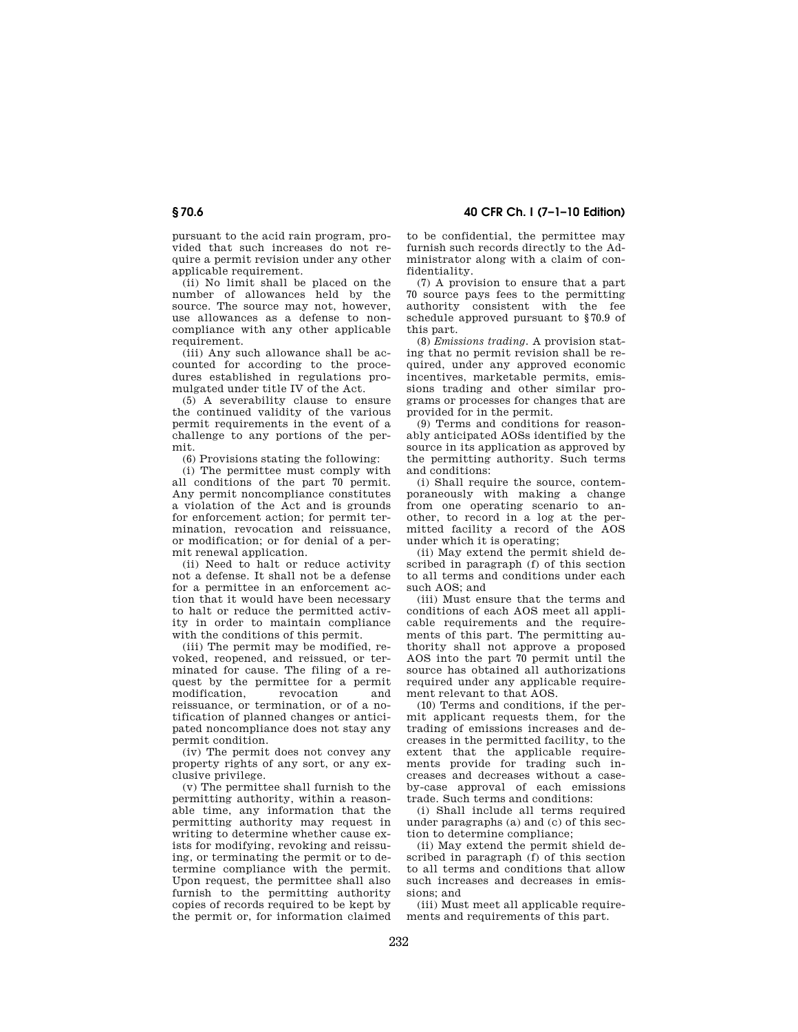pursuant to the acid rain program, provided that such increases do not require a permit revision under any other applicable requirement.

(ii) No limit shall be placed on the number of allowances held by the source. The source may not, however, use allowances as a defense to noncompliance with any other applicable requirement

(iii) Any such allowance shall be accounted for according to the procedures established in regulations promulgated under title IV of the Act.

(5) A severability clause to ensure the continued validity of the various permit requirements in the event of a challenge to any portions of the permit.

(6) Provisions stating the following:

(i) The permittee must comply with all conditions of the part 70 permit. Any permit noncompliance constitutes a violation of the Act and is grounds for enforcement action; for permit termination, revocation and reissuance, or modification; or for denial of a permit renewal application.

(ii) Need to halt or reduce activity not a defense. It shall not be a defense for a permittee in an enforcement action that it would have been necessary to halt or reduce the permitted activity in order to maintain compliance with the conditions of this permit.

(iii) The permit may be modified, revoked, reopened, and reissued, or terminated for cause. The filing of a request by the permittee for a permit<br>modification revocation and modification, revocation and reissuance, or termination, or of a notification of planned changes or anticipated noncompliance does not stay any permit condition.

(iv) The permit does not convey any property rights of any sort, or any exclusive privilege.

(v) The permittee shall furnish to the permitting authority, within a reasonable time, any information that the permitting authority may request in writing to determine whether cause exists for modifying, revoking and reissuing, or terminating the permit or to determine compliance with the permit. Upon request, the permittee shall also furnish to the permitting authority copies of records required to be kept by the permit or, for information claimed

to be confidential, the permittee may furnish such records directly to the Administrator along with a claim of confidentiality.

(7) A provision to ensure that a part 70 source pays fees to the permitting authority consistent with the fee schedule approved pursuant to §70.9 of this part.

(8) *Emissions trading.* A provision stating that no permit revision shall be required, under any approved economic incentives, marketable permits, emissions trading and other similar programs or processes for changes that are provided for in the permit.

(9) Terms and conditions for reasonably anticipated AOSs identified by the source in its application as approved by the permitting authority. Such terms and conditions:

(i) Shall require the source, contemporaneously with making a change from one operating scenario to another, to record in a log at the permitted facility a record of the AOS under which it is operating;

(ii) May extend the permit shield described in paragraph (f) of this section to all terms and conditions under each such AOS; and

(iii) Must ensure that the terms and conditions of each AOS meet all applicable requirements and the requirements of this part. The permitting authority shall not approve a proposed AOS into the part 70 permit until the source has obtained all authorizations required under any applicable requirement relevant to that AOS.

(10) Terms and conditions, if the permit applicant requests them, for the trading of emissions increases and decreases in the permitted facility, to the extent that the applicable requirements provide for trading such increases and decreases without a caseby-case approval of each emissions trade. Such terms and conditions:

(i) Shall include all terms required under paragraphs (a) and (c) of this section to determine compliance;

(ii) May extend the permit shield described in paragraph (f) of this section to all terms and conditions that allow such increases and decreases in emissions; and

(iii) Must meet all applicable requirements and requirements of this part.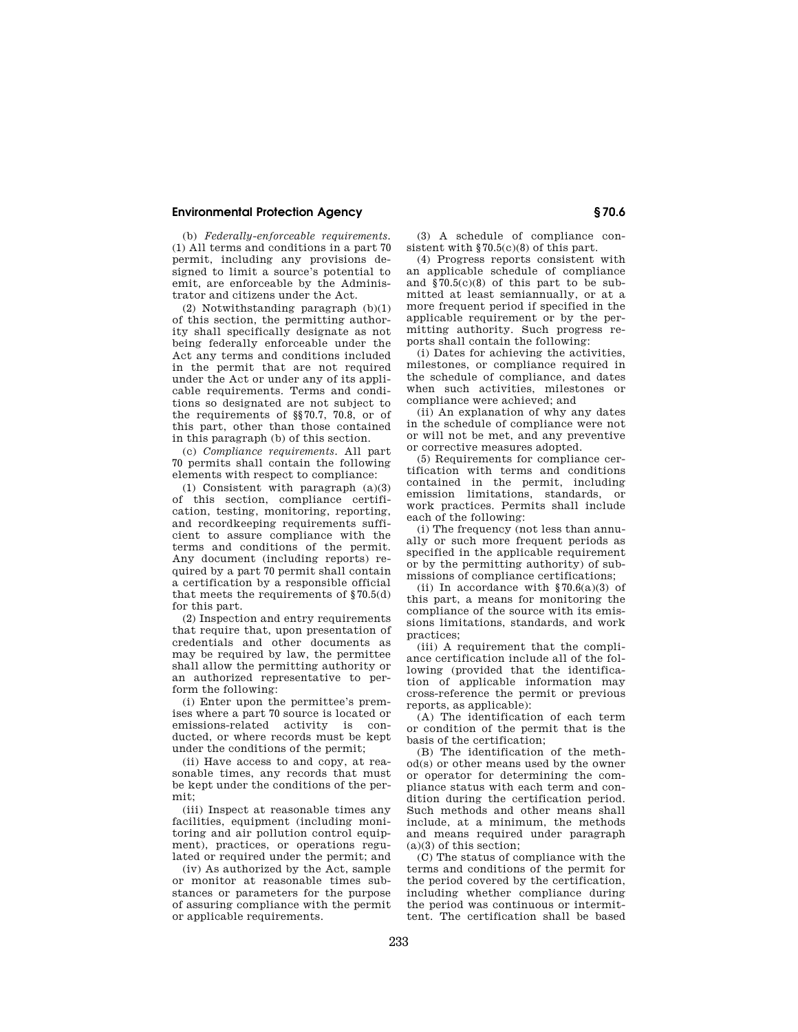## **Environmental Protection Agency § 70.6**

(b) *Federally-enforceable requirements.*  (1) All terms and conditions in a part 70 permit, including any provisions designed to limit a source's potential to emit, are enforceable by the Administrator and citizens under the Act.

(2) Notwithstanding paragraph (b)(1) of this section, the permitting authority shall specifically designate as not being federally enforceable under the Act any terms and conditions included in the permit that are not required under the Act or under any of its applicable requirements. Terms and conditions so designated are not subject to the requirements of §§70.7, 70.8, or of this part, other than those contained in this paragraph (b) of this section.

(c) *Compliance requirements.* All part 70 permits shall contain the following elements with respect to compliance:

(1) Consistent with paragraph (a)(3) of this section, compliance certification, testing, monitoring, reporting, and recordkeeping requirements sufficient to assure compliance with the terms and conditions of the permit. Any document (including reports) required by a part 70 permit shall contain a certification by a responsible official that meets the requirements of §70.5(d) for this part.

(2) Inspection and entry requirements that require that, upon presentation of credentials and other documents as may be required by law, the permittee shall allow the permitting authority or an authorized representative to perform the following:

(i) Enter upon the permittee's premises where a part 70 source is located or emissions-related activity is conducted, or where records must be kept under the conditions of the permit;

(ii) Have access to and copy, at reasonable times, any records that must be kept under the conditions of the permit;

(iii) Inspect at reasonable times any facilities, equipment (including monitoring and air pollution control equipment), practices, or operations regulated or required under the permit; and

(iv) As authorized by the Act, sample or monitor at reasonable times substances or parameters for the purpose of assuring compliance with the permit or applicable requirements.

(3) A schedule of compliance consistent with §70.5(c)(8) of this part.

(4) Progress reports consistent with an applicable schedule of compliance and §70.5(c)(8) of this part to be submitted at least semiannually, or at a more frequent period if specified in the applicable requirement or by the permitting authority. Such progress reports shall contain the following:

(i) Dates for achieving the activities, milestones, or compliance required in the schedule of compliance, and dates when such activities, milestones or compliance were achieved; and

(ii) An explanation of why any dates in the schedule of compliance were not or will not be met, and any preventive or corrective measures adopted.

(5) Requirements for compliance certification with terms and conditions contained in the permit, including emission limitations, standards, or work practices. Permits shall include each of the following:

(i) The frequency (not less than annually or such more frequent periods as specified in the applicable requirement or by the permitting authority) of submissions of compliance certifications;

(ii) In accordance with  $\S 70.6(a)(3)$  of this part, a means for monitoring the compliance of the source with its emissions limitations, standards, and work practices;

(iii) A requirement that the compliance certification include all of the following (provided that the identification of applicable information may cross-reference the permit or previous reports, as applicable):

(A) The identification of each term or condition of the permit that is the basis of the certification;

(B) The identification of the method(s) or other means used by the owner or operator for determining the compliance status with each term and condition during the certification period. Such methods and other means shall include, at a minimum, the methods and means required under paragraph (a)(3) of this section;

(C) The status of compliance with the terms and conditions of the permit for the period covered by the certification, including whether compliance during the period was continuous or intermittent. The certification shall be based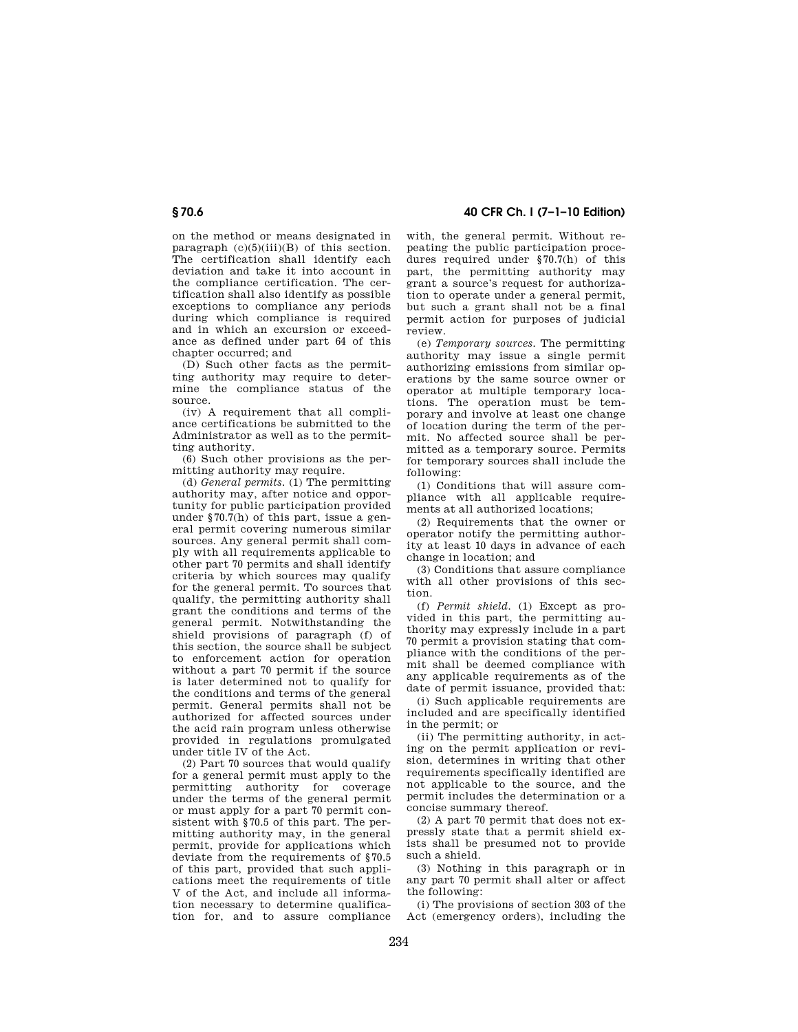on the method or means designated in paragraph  $(c)(5)(iii)(B)$  of this section. The certification shall identify each deviation and take it into account in the compliance certification. The certification shall also identify as possible exceptions to compliance any periods during which compliance is required and in which an excursion or exceedance as defined under part 64 of this chapter occurred; and

(D) Such other facts as the permitting authority may require to determine the compliance status of the source.

(iv) A requirement that all compliance certifications be submitted to the Administrator as well as to the permitting authority.

(6) Such other provisions as the permitting authority may require.

(d) *General permits.* (1) The permitting authority may, after notice and opportunity for public participation provided under §70.7(h) of this part, issue a general permit covering numerous similar sources. Any general permit shall comply with all requirements applicable to other part 70 permits and shall identify criteria by which sources may qualify for the general permit. To sources that qualify, the permitting authority shall grant the conditions and terms of the general permit. Notwithstanding the shield provisions of paragraph (f) of this section, the source shall be subject to enforcement action for operation without a part 70 permit if the source is later determined not to qualify for the conditions and terms of the general permit. General permits shall not be authorized for affected sources under the acid rain program unless otherwise provided in regulations promulgated under title IV of the Act.

(2) Part 70 sources that would qualify for a general permit must apply to the permitting authority for coverage under the terms of the general permit or must apply for a part 70 permit consistent with §70.5 of this part. The permitting authority may, in the general permit, provide for applications which deviate from the requirements of \$70.5 of this part, provided that such applications meet the requirements of title V of the Act, and include all information necessary to determine qualification for, and to assure compliance

**§ 70.6 40 CFR Ch. I (7–1–10 Edition)** 

with, the general permit. Without repeating the public participation procedures required under §70.7(h) of this part, the permitting authority may grant a source's request for authorization to operate under a general permit, but such a grant shall not be a final permit action for purposes of judicial review.

(e) *Temporary sources.* The permitting authority may issue a single permit authorizing emissions from similar operations by the same source owner or operator at multiple temporary locations. The operation must be temporary and involve at least one change of location during the term of the permit. No affected source shall be permitted as a temporary source. Permits for temporary sources shall include the following:

(1) Conditions that will assure compliance with all applicable requirements at all authorized locations;

(2) Requirements that the owner or operator notify the permitting authority at least 10 days in advance of each change in location; and

(3) Conditions that assure compliance with all other provisions of this section.

(f) *Permit shield.* (1) Except as provided in this part, the permitting authority may expressly include in a part 70 permit a provision stating that compliance with the conditions of the permit shall be deemed compliance with any applicable requirements as of the date of permit issuance, provided that:

(i) Such applicable requirements are included and are specifically identified in the permit; or

(ii) The permitting authority, in acting on the permit application or revision, determines in writing that other requirements specifically identified are not applicable to the source, and the permit includes the determination or a concise summary thereof.

(2) A part 70 permit that does not expressly state that a permit shield exists shall be presumed not to provide such a shield.

(3) Nothing in this paragraph or in any part 70 permit shall alter or affect the following:

(i) The provisions of section 303 of the Act (emergency orders), including the